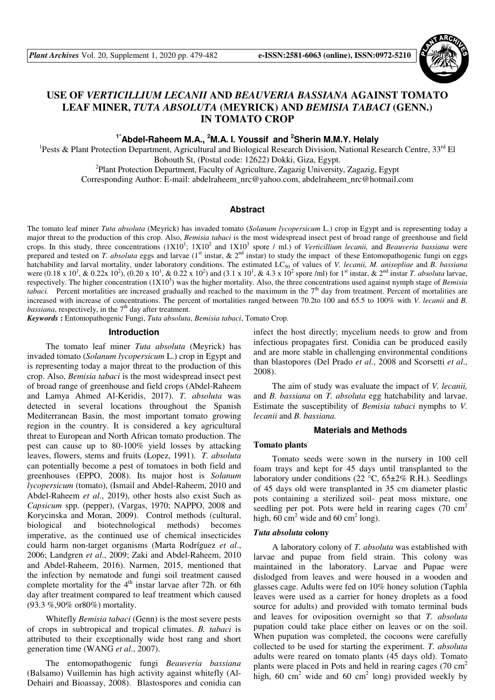

# **USE OF** *VERTICILLIUM LECANII* **AND** *BEAUVERIA BASSIANA* **AGAINST TOMATO LEAF MINER,** *TUTA ABSOLUTA* **(MEYRICK) AND** *BEMISIA TABACI* **(GENN.) IN TOMATO CROP**

**1\*Abdel-Raheem M.A., <sup>2</sup>M.A. I. Youssif and <sup>2</sup>Sherin M.M.Y. Helaly** 

<sup>1</sup>Pests & Plant Protection Department, Agricultural and Biological Research Division, National Research Centre, 33<sup>rd</sup> El Bohouth St, (Postal code: 12622) Dokki, Giza, Egypt.

<sup>2</sup>Plant Protection Department, Faculty of Agriculture, Zagazig University, Zagazig, Egypt

Corresponding Author: E-mail: abdelraheem\_nrc@yahoo.com, abdelraheem\_nrc@hotmail.com

### **Abstract**

The tomato leaf miner *Tuta absoluta* (Meyrick) has invaded tomato (*Solanum lycopersicum* L.) crop in Egypt and is representing today a major threat to the production of this crop. Also, *Bemisia tabaci* is the most widespread insect pest of broad range of greenhouse and field crops. In this study, three concentrations (1X10<sup>1</sup>; 1X10<sup>2</sup> and 1X10<sup>3</sup> spore / ml.) of *Verticillium lecanii*, and *Beauveria bassiana* were prepared and tested on *T. absoluta* eggs and larvae (1<sup>st</sup> instar, & 2<sup>nd</sup> instar) to study the impact of these Entomopathogenic fungi on eggs hatchability and larval mortality, under laboratory conditions. The estimated LC<sub>50</sub> of values of *V. lecanii, M. anisopliae* and *B. bassiana* were  $(0.18 \times 10^1, \& 0.22 \times 10^2), (0.20 \times 10^1, \& 0.22 \times 10^2)$  and  $(3.1 \times 10^1, \& 4.3 \times 10^2$  spore /ml) for 1<sup>st</sup> instar,  $\& 2^{nd}$  instar *T. absoluta* larvae, respectively. The higher concentration (1X10<sup>3</sup>) was the higher mortality. Also, the three concentrations used against nymph stage of *Bemisia tabaci.* Percent mortalities are increased gradually and reached to the maximum in the 7<sup>th</sup> day from treatment. Percent of mortalities are increased with increase of concentrations. The percent of mortalities ranged between 70.2to 100 and 65.5 to 100% with *V. lecanii* and *B. bassiana*, respectively, in the 7<sup>th</sup> day after treatment.

*Keywords* **:** Entomopathogenic Fungi, *Tuta absoluta*, *Bemisia tabaci*, Tomato Crop.

## **Introduction**

The tomato leaf miner *Tuta absoluta* (Meyrick) has invaded tomato (*Solanum lycopersicum* L.) crop in Egypt and is representing today a major threat to the production of this crop. Also, *Bemisia tabaci* is the most widespread insect pest of broad range of greenhouse and field crops (Abdel-Raheem and Lamya Ahmed Al-Keridis, 2017). *T. absoluta* was detected in several locations throughout the Spanish Mediterranean Basin, the most important tomato growing region in the country. It is considered a key agricultural threat to European and North African tomato production. The pest can cause up to 80-100% yield losses by attacking leaves, flowers, stems and fruits (Lopez, 1991). *T. absoluta*  can potentially become a pest of tomatoes in both field and greenhouses (EPPO, 2008). Its major host is *Solanum lycopersicum* (tomato), (Ismail and Abdel-Raheem, 2010 and Abdel-Raheem *et al*., 2019), other hosts also exist Such as *Capsicum* spp. (pepper), (Vargas, 1970; NAPPO, 2008 and Korycinska and Moran, 2009). Control methods (cultural, biological and biotechnological methods) becomes imperative, as the continued use of chemical insecticides could harm non-target organisms (Marta Rodríguez *et al*., 2006; Landgren *et al*., 2009; Zaki and Abdel-Raheem, 2010 and Abdel-Raheem, 2016). Narmen, 2015, mentioned that the infection by nematode and fungi soil treatment caused complete mortality for the  $4<sup>th</sup>$  instar larvae after 72h. or 6th day after treatment compared to leaf treatment which caused (93.3 %,90% or80%) mortality.

Whitefly *Bemisia tabaci* (Genn) is the most severe pests of crops in subtropical and tropical climates. *B. tabaci* is attributed to their exceptionally wide host rang and short generation time (WANG *et al*., 2007).

The entomopathogenic fungi *Beauveria bassiana*  (Balsamo) Vuillemin has high activity against whitefly (Al-Dehairi and Bioassay, 2008). Blastospores and conidia can

infect the host directly; mycelium needs to grow and from infectious propagates first. Conidia can be produced easily and are more stable in challenging environmental conditions than blastopores (Del Prado *et al*., 2008 and Scorsetti *et al*., 2008).

The aim of study was evaluate the impact of *V. lecanii,*  and *B. bassiana* on *T. absoluta* egg hatchability and larvae. Estimate the susceptibility of *Bemisia tabaci* nymphs to *V. lecanii* and *B. bassiana.*

#### **Materials and Methods**

#### **Tomato plants**

Tomato seeds were sown in the nursery in 100 cell foam trays and kept for 45 days until transplanted to the laboratory under conditions (22 °C, 65±2% R.H.). Seedlings of 45 days old were transplanted in 35 cm diameter plastic pots containing a sterilized soil- peat moss mixture, one seedling per pot. Pots were held in rearing cages (70  $\text{cm}^2$ ) high,  $60 \text{ cm}^2$  wide and  $60 \text{ cm}^2$  long).

#### *Tuta absoluta* **colony**

A laboratory colony of *T. absoluta* was established with larvae and pupae from field strain. This colony was maintained in the laboratory. Larvae and Pupae were dislodged from leaves and were housed in a wooden and glasses cage. Adults were fed on 10% honey solution (Taphla leaves were used as a carrier for honey droplets as a food source for adults) and provided with tomato terminal buds and leaves for oviposition overnight so that *T. absoluta*  pupation could take place either on leaves or on the soil. When pupation was completed, the cocoons were carefully collected to be used for starting the experiment. *T. absoluta*  adults were reared on tomato plants (45 days old). Tomato plants were placed in Pots and held in rearing cages  $(70 \text{ cm}^2)$ high, 60  $\text{cm}^2$  wide and 60  $\text{cm}^2$  long) provided weekly by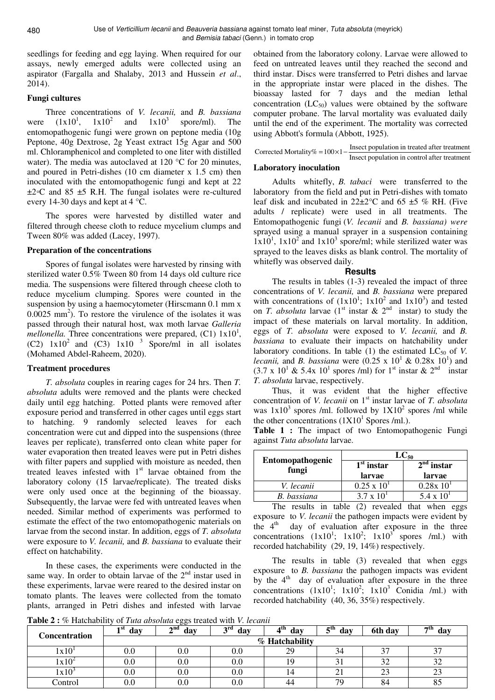seedlings for feeding and egg laying. When required for our assays, newly emerged adults were collected using an aspirator (Fargalla and Shalaby, 2013 and Hussein *et al*., 2014).

## **Fungi cultures**

Three concentrations of *V. lecanii,* and *B. bassiana*  were  $(1x10^1, 1x10^2 \text{ and } 1x10^3$  spore/ml). The entomopathogenic fungi were grown on peptone media (10g Peptone, 40g Dextrose, 2g Yeast extract 15g Agar and 500 ml. Chloramphenicol and completed to one liter with distilled water). The media was autoclaved at 120 °C for 20 minutes, and poured in Petri-dishes (10 cm diameter x 1.5 cm) then inoculated with the entomopathogenic fungi and kept at 22  $\pm 2$ <sup>o</sup>C and 85  $\pm 5$  R.H. The fungal isolates were re-cultured every 14-30 days and kept at 4 °C.

The spores were harvested by distilled water and filtered through cheese cloth to reduce mycelium clumps and Tween 80% was added (Lacey, 1997).

## **Preparation of the concentrations**

Spores of fungal isolates were harvested by rinsing with sterilized water 0.5% Tween 80 from 14 days old culture rice media. The suspensions were filtered through cheese cloth to reduce mycelium clumping. Spores were counted in the suspension by using a haemocytometer (Hirscmann 0.1 mm x  $0.0025$  mm<sup>2</sup>). To restore the virulence of the isolates it was passed through their natural host, wax moth larvae *Galleria mellonella*. Three concentrations were prepared,  $(C1) 1x10<sup>1</sup>$ ,  $(C2)$   $1x10^2$  and  $(C3)$   $1x10^{-3}$  Spore/ml in all isolates (Mohamed Abdel-Raheem, 2020).

## **Treatment procedures**

*T. absoluta* couples in rearing cages for 24 hrs. Then *T. absoluta* adults were removed and the plants were checked daily until egg hatching. Potted plants were removed after exposure period and transferred in other cages until eggs start to hatching. 9 randomly selected leaves for each concentration were cut and dipped into the suspensions (three leaves per replicate), transferred onto clean white paper for water evaporation then treated leaves were put in Petri dishes with filter papers and supplied with moisture as needed, then treated leaves infested with  $1<sup>st</sup>$  larvae obtained from the laboratory colony (15 larvae/replicate). The treated disks were only used once at the beginning of the bioassay. Subsequently, the larvae were fed with untreated leaves when needed. Similar method of experiments was performed to estimate the effect of the two entomopathogenic materials on larvae from the second instar. In addition, eggs of *T. absoluta*  were exposure to *V. lecanii,* and *B. bassiana* to evaluate their effect on hatchability.

In these cases, the experiments were conducted in the same way. In order to obtain larvae of the  $2<sup>nd</sup>$  instar used in these experiments, larvae were reared to the desired instar on tomato plants. The leaves were collected from the tomato plants, arranged in Petri dishes and infested with larvae

obtained from the laboratory colony. Larvae were allowed to feed on untreated leaves until they reached the second and third instar. Discs were transferred to Petri dishes and larvae in the appropriate instar were placed in the dishes. The bioassay lasted for 7 days and the median lethal concentration  $(LC_{50})$  values were obtained by the software computer probane. The larval mortality was evaluated daily until the end of the experiment. The mortality was corrected using Abbott's formula (Abbott, 1925).

| Corrected Mortality% = $100 \times 1 - \frac{\text{msec}}{\text{c}}$ | Insect population in treated after treatment |
|----------------------------------------------------------------------|----------------------------------------------|
|                                                                      | Insect population in control after treatment |

# **Laboratory inoculation**

Adults whitefly, *B. tabaci* were transferred to the laboratory from the field and put in Petri-dishes with tomato leaf disk and incubated in  $22\pm2\degree$ C and 65  $\pm$ 5 % RH. (Five adults / replicate) were used in all treatments. The Entomopathogenic fungi (*V. lecanii* and *B. bassiana) were* sprayed using a manual sprayer in a suspension containing  $1x10<sup>1</sup>$ ,  $1x10<sup>2</sup>$  and  $1x10<sup>3</sup>$  spore/ml; while sterilized water was sprayed to the leaves disks as blank control. The mortality of whitefly was observed daily.

## **Results**

The results in tables (1-3) revealed the impact of three concentrations of *V. lecanii,* and *B. bassiana* were prepared with concentrations of  $(1x10^1; 1x10^2 \text{ and } 1x10^3)$  and tested on *T. absoluta* larvae (1<sup>st</sup> instar  $\&$  2<sup>nd</sup> instar) to study the impact of these materials on larval mortality. In addition, eggs of *T. absoluta* were exposed to *V. lecanii,* and *B. bassiana* to evaluate their impacts on hatchability under laboratory conditions. In table  $(1)$  the estimated  $LC_{50}$  of *V*. *lecanii*, and *B. bassiana* were  $(0.25 \times 10^1 \& 0.28 \times 10^1)$  and  $(3.7 \times 10^{1} \text{ \& } 5.4 \times 10^{1} \text{ spores/ml})$  for 1<sup>st</sup> instar & 2<sup>nd</sup> instar *T. absoluta* larvae, respectively.

Thus, it was evident that the higher effective concentration of *V. lecanii* on 1<sup>st</sup> instar larvae of *T. absoluta* was  $1x10^3$  spores /ml. followed by  $1X10^2$  spores /ml while the other concentrations  $(1X10^1$  Spores /ml.).

**Table 1 :** The impact of two Entomopathogenic Fungi against *Tuta absoluta* larvae.

|                                  | $LC_{50}$            |                       |  |  |
|----------------------------------|----------------------|-----------------------|--|--|
| <b>Entomopathogenic</b><br>fungi | $1st$ instar         | $2nd$ instar          |  |  |
|                                  | larvae               | larvae                |  |  |
| V. lecanii                       | $0.25 \times 10^{1}$ | 0.28x 10 <sup>1</sup> |  |  |
| B. bassiana                      | $3.7 \times 10^{1}$  | $5.4 \times 10^{1}$   |  |  |

The results in table (2) revealed that when eggs exposure to *V. lecanii* the pathogen impacts were evident by the  $4<sup>th</sup>$  day of evaluation after exposure in the three concentrations  $(1x10^1; 1x10^2; 1x10^3$  spores /ml.) with recorded hatchability (29, 19, 14%) respectively.

The results in table (3) revealed that when eggs exposure to *B. bassiana* the pathogen impacts was evident by the  $4<sup>th</sup>$  day of evaluation after exposure in the three concentrations  $(1x10^1; 1x10^2; 1x10^3 \text{ Conidia /ml.})$  with recorded hatchability (40, 36, 35%) respectively.

**Table 2 :** % Hatchability of *Tuta absoluta* eggs treated with *V. lecanii*

| <b>Concentration</b> | ı st<br>day    | $\circ$<br>$\boldsymbol{\gamma}$ nd<br>day<br>∼ | 2rd<br>day | 4 <sup>th</sup><br>day | $eth$<br>day | 6th day          | $\rightarrow$ th<br>day |
|----------------------|----------------|-------------------------------------------------|------------|------------------------|--------------|------------------|-------------------------|
|                      | % Hatchability |                                                 |            |                        |              |                  |                         |
| 1x10                 |                | 0.U                                             | $0.0\,$    | 29                     |              | $\sim$<br>╯      | n <del>n</del>          |
| $1x10^2$             |                | $_{\rm 0.0}$                                    | $0.0\,$    | 10                     | $\sim$       | $\Omega$<br>ے ر  | $\cap$<br>ے ر           |
| 1x10                 |                | $_{\rm 0.0}$                                    | $0.0\,$    |                        | $\sim$<br>∠  | $\bigcap$<br>ل ک | ΩΩ<br>23                |
| Control              | v.u            | $_{\rm 0.0}$                                    | $0.0\,$    | 44                     | 79           | 84               | ΩE<br>οJ                |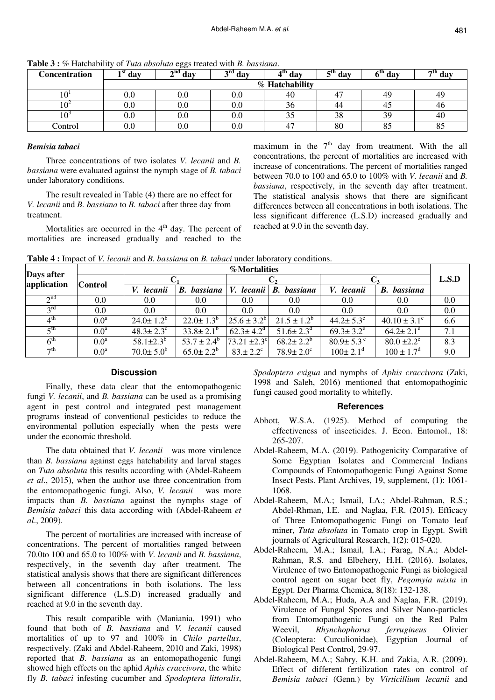| Concentration | ∎ St<br>day    | $\gamma^{\rm nd}$ day | $\lambda^{\text{rd}}$ day | $4th$ day | $5^{th}$ day | 6 <sup>th</sup><br>dav | $7^{th}$ day |  |  |
|---------------|----------------|-----------------------|---------------------------|-----------|--------------|------------------------|--------------|--|--|
|               | % Hatchability |                       |                           |           |              |                        |              |  |  |
| 10            | J.U            | $0.0\,$               | $0.0\,$                   | 40        |              | 49                     | 49           |  |  |
| $10^4$        |                | $0.0\,$               | $0.0\,$                   | 36        |              |                        | 46           |  |  |
| 10            |                | $0.0\,$               | $_{0.0}$                  |           | റ റ<br>38    | 39                     | 40           |  |  |
| Control       | v.u            | $0.0\,$               | $0.0\,$                   | 47        | 80           | o.                     | 83           |  |  |

**Table 3 :** % Hatchability of *Tuta absoluta* eggs treated with *B. bassiana*.

#### *Bemisia tabaci*

Three concentrations of two isolates *V. lecanii* and *B. bassiana* were evaluated against the nymph stage of *B. tabaci* under laboratory conditions.

The result revealed in Table (4) there are no effect for *V. lecanii* and *B. bassiana* to *B. tabaci* after three day from treatment.

Mortalities are occurred in the  $4<sup>th</sup>$  day. The percent of mortalities are increased gradually and reached to the

maximum in the  $7<sup>th</sup>$  day from treatment. With the all concentrations, the percent of mortalities are increased with increase of concentrations. The percent of mortalities ranged between 70.0 to 100 and 65.0 to 100% with *V. lecanii* and *B. bassiana*, respectively, in the seventh day after treatment. The statistical analysis shows that there are significant differences between all concentrations in both isolations. The less significant difference (L.S.D) increased gradually and reached at 9.0 in the seventh day.

**Table 4 :** Impact of *V. lecanii* and *B. bassiana* on *B. tabaci* under laboratory conditions.

|                           | <b>%Mortalities</b> |                             |                       |                            |                             |                             |                             |       |
|---------------------------|---------------------|-----------------------------|-----------------------|----------------------------|-----------------------------|-----------------------------|-----------------------------|-------|
| Days after<br>application | <b>Control</b>      |                             |                       | C2                         |                             |                             |                             | L.S.D |
|                           |                     | V. lecanii                  | bassiana<br><b>B.</b> | lecanii  <br>V.            | bassiana<br>В.              | V. lecanii                  | bassiana<br><b>B.</b>       |       |
| $\gamma$ nd               | 0.0                 | 0.0                         | $0.0\,$               | 0.0                        | 0.0                         | 0.0                         | 0.0                         | 0.0   |
| $2^{\text{rd}}$           | 0.0                 | $0.0\,$                     | 0.0                   | 0.0                        | 0.0                         | 0.0                         | 0.0                         | 0.0   |
| 4 <sup>th</sup>           | 0.0 <sup>a</sup>    | $24.0 \pm 1.2^b$            | $22.0 \pm 1.3^{b}$    | $125.6 \pm 3.2^{\circ}$    | $21.5 \pm 1.2^b$            | $44.2 \pm 5.3$ °            | $40.10 \pm 3.1^{\circ}$     | 6.6   |
| $\zeta$ <sup>th</sup>     | 0.0 <sup>a</sup>    | $48.3 \pm 2.3$ <sup>c</sup> | $33.8 \pm 2.1^b$      | $62.3 \pm 4.2^d$           | $51.6 \pm 2.3$ <sup>d</sup> | $69.3 \pm 3.2^e$            | $64.2 \pm 2.1^e$            | 7.1   |
| 6 <sup>th</sup>           | 0.0 <sup>a</sup>    | $58.1 \pm 2.3^b$            | $53.7 \pm 2.4^b$      | 73.21 $\pm 2.3$ °          | $68.2 \pm 2.2^b$            | $80.9 \pm 5.3$ <sup>e</sup> | $80.0 \pm 2.2$ <sup>e</sup> | 8.3   |
| $\neg$ th                 | 0.0 <sup>a</sup>    | $70.0 \pm 5.0^{\rm b}$      | $65.0 \pm 2.2^b$      | $83. \pm 2.2$ <sup>c</sup> | $78.9 \pm 2.0^{\circ}$      | $100 \pm 2.1$ <sup>d</sup>  | $100 \pm 1.7^{\circ}$       | 9.0   |

### **Discussion**

Finally, these data clear that the entomopathogenic fungi *V. lecanii*, and *B. bassiana* can be used as a promising agent in pest control and integrated pest management programs instead of conventional pesticides to reduce the environmental pollution especially when the pests were under the economic threshold.

The data obtained that *V. lecanii* was more virulence than *B. bassiana* against eggs hatchability and larval stages on *Tuta absoluta* this results according with (Abdel-Raheem *et al*., 2015), when the author use three concentration from the entomopathogenic fungi. Also, *V. lecanii* was more impacts than *B. bassiana* against the nymphs stage of *Bemisia tabaci* this data according with (Abdel-Raheem *et al*., 2009).

The percent of mortalities are increased with increase of concentrations. The percent of mortalities ranged between 70.0to 100 and 65.0 to 100% with *V. lecanii* and *B. bassiana*, respectively, in the seventh day after treatment. The statistical analysis shows that there are significant differences between all concentrations in both isolations. The less significant difference (L.S.D) increased gradually and reached at 9.0 in the seventh day.

This result compatible with (Maniania, 1991) who found that both of *B. bassiana* and *V. lecanii* caused mortalities of up to 97 and 100% in *Chilo partellus*, respectively. (Zaki and Abdel-Raheem, 2010 and Zaki, 1998) reported that *B. bassiana* as an entomopathogenic fungi showed high effects on the aphid *Aphis craccivora*, the white fly *B. tabaci* infesting cucumber and *Spodoptera littoralis*,

*Spodoptera exigua* and nymphs of *Aphis craccivora* (Zaki, 1998 and Saleh, 2016) mentioned that entomopathoginic fungi caused good mortality to whitefly.

## **References**

- Abbott, W.S.A. (1925). Method of computing the effectiveness of insecticides. J. Econ. Entomol., 18: 265-207.
- Abdel-Raheem, M.A. (2019). Pathogenicity Comparative of Some Egyptian Isolates and Commercial Indians Compounds of Entomopathogenic Fungi Against Some Insect Pests. Plant Archives, 19, supplement, (1): 1061- 1068.
- Abdel-Raheem, M.A.; Ismail, I.A.; Abdel-Rahman, R.S.; Abdel-Rhman, I.E. and Naglaa, F.R. (2015). Efficacy of Three Entomopathogenic Fungi on Tomato leaf miner, *Tuta absoluta* in Tomato crop in Egypt. Swift journals of Agricultural Research, 1(2): 015-020.
- Abdel-Raheem, M.A.; Ismail, I.A.; Farag, N.A.; Abdel-Rahman, R.S. and Elbehery, H.H. (2016). Isolates, Virulence of two Entomopathogenic Fungi as biological control agent on sugar beet fly, *Pegomyia mixta* in Egypt. Der Pharma Chemica, 8(18): 132-138.
- Abdel-Raheem, M.A.; Huda, A.A and Naglaa, F.R. (2019). Virulence of Fungal Spores and Silver Nano-particles from Entomopathogenic Fungi on the Red Palm Weevil, *Rhynchophorus ferrugineus* Olivier (Coleoptera: Curculionidae), Egyptian Journal of Biological Pest Control, 29-97.
- Abdel-Raheem, M.A.; Sabry, K.H. and Zakia, A.R. (2009). Effect of different fertilization rates on control of *Bemisia tabaci* (Genn.) by *Virticillium lecanii* and